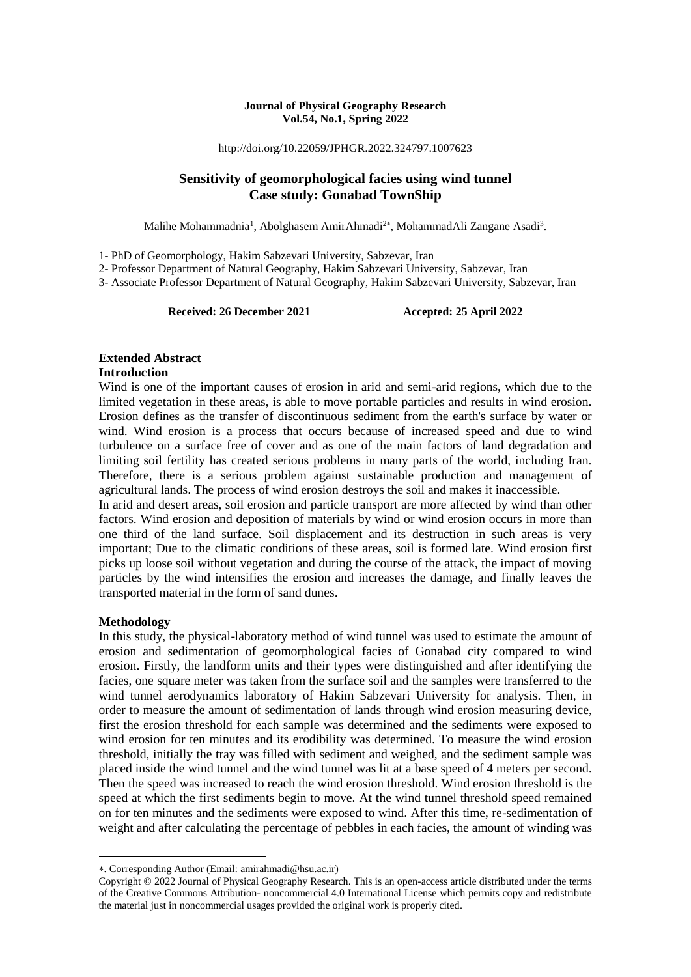#### **Journal of Physical Geography Research Vol.54, No.1, Spring 2022**

http://doi.org/10.22059/JPHGR.2022.324797.1007623

## **Sensitivity of geomorphological facies using wind tunnel Case study: Gonabad TownShip**

Malihe Mohammadnia<sup>1</sup>, Abolghasem AmirAhmadi<sup>2\*</sup>, MohammadAli Zangane Asadi<sup>3</sup>.

1- PhD of Geomorphology, Hakim Sabzevari University, Sabzevar, Iran

2- Professor Department of Natural Geography, Hakim Sabzevari University, Sabzevar, Iran

3- Associate Professor Department of Natural Geography, Hakim Sabzevari University, Sabzevar, Iran

**Received: 26 December 2021 Accepted: 25 April 2022**

## **Extended Abstract**

## **Introduction**

Wind is one of the important causes of erosion in arid and semi-arid regions, which due to the limited vegetation in these areas, is able to move portable particles and results in wind erosion. Erosion defines as the transfer of discontinuous sediment from the earth's surface by water or wind. Wind erosion is a process that occurs because of increased speed and due to wind turbulence on a surface free of cover and as one of the main factors of land degradation and limiting soil fertility has created serious problems in many parts of the world, including Iran. Therefore, there is a serious problem against sustainable production and management of agricultural lands. The process of wind erosion destroys the soil and makes it inaccessible.

In arid and desert areas, soil erosion and particle transport are more affected by wind than other factors. Wind erosion and deposition of materials by wind or wind erosion occurs in more than one third of the land surface. Soil displacement and its destruction in such areas is very important; Due to the climatic conditions of these areas, soil is formed late. Wind erosion first picks up loose soil without vegetation and during the course of the attack, the impact of moving particles by the wind intensifies the erosion and increases the damage, and finally leaves the transported material in the form of sand dunes.

### **Methodology**

1

In this study, the physical-laboratory method of wind tunnel was used to estimate the amount of erosion and sedimentation of geomorphological facies of Gonabad city compared to wind erosion. Firstly, the landform units and their types were distinguished and after identifying the facies, one square meter was taken from the surface soil and the samples were transferred to the wind tunnel aerodynamics laboratory of Hakim Sabzevari University for analysis. Then, in order to measure the amount of sedimentation of lands through wind erosion measuring device, first the erosion threshold for each sample was determined and the sediments were exposed to wind erosion for ten minutes and its erodibility was determined. To measure the wind erosion threshold, initially the tray was filled with sediment and weighed, and the sediment sample was placed inside the wind tunnel and the wind tunnel was lit at a base speed of 4 meters per second. Then the speed was increased to reach the wind erosion threshold. Wind erosion threshold is the speed at which the first sediments begin to move. At the wind tunnel threshold speed remained on for ten minutes and the sediments were exposed to wind. After this time, re-sedimentation of weight and after calculating the percentage of pebbles in each facies, the amount of winding was

<sup>.</sup> Corresponding Author (Email: amirahmadi@hsu.ac.ir)

Copyright © 2022 Journal of Physical Geography Research. This is an open-access article distributed under the terms of the Creative Commons Attribution- noncommercial 4.0 International License which permits copy and redistribute the material just in noncommercial usages provided the original work is properly cited.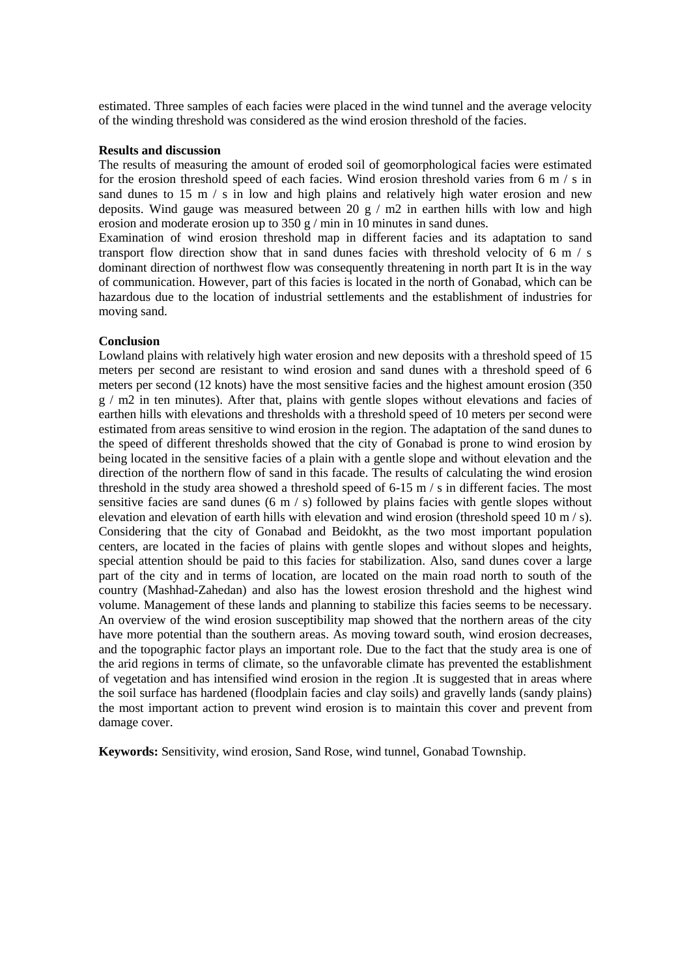estimated. Three samples of each facies were placed in the wind tunnel and the average velocity of the winding threshold was considered as the wind erosion threshold of the facies.

#### **Results and discussion**

The results of measuring the amount of eroded soil of geomorphological facies were estimated for the erosion threshold speed of each facies. Wind erosion threshold varies from 6 m/s in sand dunes to 15 m  $/$  s in low and high plains and relatively high water erosion and new deposits. Wind gauge was measured between 20 g / m2 in earthen hills with low and high erosion and moderate erosion up to 350 g / min in 10 minutes in sand dunes.

Examination of wind erosion threshold map in different facies and its adaptation to sand transport flow direction show that in sand dunes facies with threshold velocity of 6 m  $/$  s dominant direction of northwest flow was consequently threatening in north part It is in the way of communication. However, part of this facies is located in the north of Gonabad, which can be hazardous due to the location of industrial settlements and the establishment of industries for moving sand.

#### **Conclusion**

Lowland plains with relatively high water erosion and new deposits with a threshold speed of 15 meters per second are resistant to wind erosion and sand dunes with a threshold speed of 6 meters per second (12 knots) have the most sensitive facies and the highest amount erosion (350 g / m2 in ten minutes). After that, plains with gentle slopes without elevations and facies of earthen hills with elevations and thresholds with a threshold speed of 10 meters per second were estimated from areas sensitive to wind erosion in the region. The adaptation of the sand dunes to the speed of different thresholds showed that the city of Gonabad is prone to wind erosion by being located in the sensitive facies of a plain with a gentle slope and without elevation and the direction of the northern flow of sand in this facade. The results of calculating the wind erosion threshold in the study area showed a threshold speed of 6-15 m / s in different facies. The most sensitive facies are sand dunes (6 m  $/$  s) followed by plains facies with gentle slopes without elevation and elevation of earth hills with elevation and wind erosion (threshold speed 10 m / s). Considering that the city of Gonabad and Beidokht, as the two most important population centers, are located in the facies of plains with gentle slopes and without slopes and heights, special attention should be paid to this facies for stabilization. Also, sand dunes cover a large part of the city and in terms of location, are located on the main road north to south of the country (Mashhad-Zahedan) and also has the lowest erosion threshold and the highest wind volume. Management of these lands and planning to stabilize this facies seems to be necessary. An overview of the wind erosion susceptibility map showed that the northern areas of the city have more potential than the southern areas. As moving toward south, wind erosion decreases, and the topographic factor plays an important role. Due to the fact that the study area is one of the arid regions in terms of climate, so the unfavorable climate has prevented the establishment of vegetation and has intensified wind erosion in the region .It is suggested that in areas where the soil surface has hardened (floodplain facies and clay soils) and gravelly lands (sandy plains) the most important action to prevent wind erosion is to maintain this cover and prevent from damage cover.

**Keywords:** Sensitivity, wind erosion, Sand Rose, wind tunnel, Gonabad Township.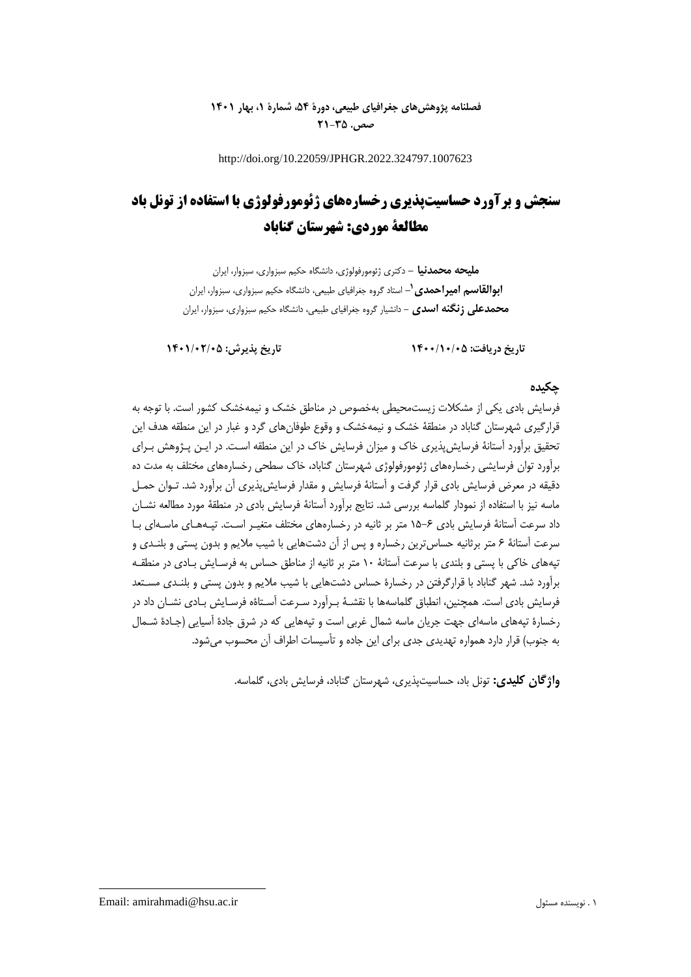## **فصلنامه پژوهشهای جغرافیای طبیعی، دورۀ ،54 شمارۀ ،1 بهار 1401 صص. 21-35**

http://doi.org/10.22059/JPHGR.2022.324797.1007623

# **سنجش و برآورد حساسیتپذیری رخسارههای ژئومورفولوژی با استفاده از تونل باد مطالعة موردی: شهرستان گناباد**

**ملیحه محمدنیا -** دکتری ژئومورفولوژی، دانشگاه حکیم سبزواری، سبزوار، ایران **1 ابوالقاسم امیراحمدی -** استاد گروه جغرافیای طبیعی، دانشگاه حکیم سبزواری، سبزوار، ایران **محمدعلی زنگنه اسدی -** دانشیار گروه جغرافیای طبیعی، دانشگاه حکیم سبزواری، سبزوار، ایران

**تاریخ دریافت: 1400/10/05 تاریخ پذیرش: 1401/02/05**

## **چکیده**

فرسایش بادی یکی از مشکالت زیستمحیطی بهخصوص در مناطق خشک و نیمهخشک کشور است. با توجه به قرارگیری شهرستان گناباد در منطقۀ خشک و نیمهخشک و وقوع طوفانهای گرد و غبار در این منطقه هدف این تحقیق برآورد آستانۀ فرسایشپذیری خاك و میزان فرسایش خاك در این منطقه اسـت. در ایـن پـژوهش بـرای برآورد توان فرسایشی رخسارههای ژئومورفولوژی شهرستان گناباد، خاك سطحی رخسارههای مختلش به مدت ده دقیقه در معرض فرسایش بادی قرار گرفت و آستانۀ فرسایش و مقدار فرسایشپذیری آن برآورد شد. تـوان حمـل ماسه نیز با استفاده از نمودار گلماسه بررسی شد. نتایج برآورد آستانۀ فرسایش بادی در منطقۀ مورد مطالعه نشـان داد سرعت آستانۀ فرسایش بادی 15-6 متر بر ثانیه در رخسارههای مختلش متغیـر اسـت. تپـههـای ماسـهای بـا سرعت آستانۀ 6 متر برثانیه حساسترین رخساره و پس از آن دشتهایی با شیب مالیم و بدون پستی و بلنـدی و تپههای خاکی با پستی و بلندی با سرعت آستانۀ 10 متر بر ثانیه از مناطق حساس به فرسـایش بـادی در منطقـه برآورد شد. شهر گناباد با قرارگرفتن در رخسارة حساس دشتهایی با شیب مالیم و بدون پستی و بلنـدی مسـتعد فرسایش بادی است. همچنین، انطباق گلماسهها با نقشـۀ بـرآورد سـرعت آسـتاةه فرسـایش بـادی نشـان داد در رخسارة تپههای ماسهای جهت جریان ماسه شمال غربی است و تپههایی که در شرق جادة آسیایی )جـادة شـمال به جنوب) قرار دارد همواره تهدیدی جدی برای این جاده و تأسیسات اطراف آن محسوب می شود.

**واژگان کلیدی:** تونل باد، حساسیتپذیری، شهرستان گناباد، فرسایش بادی، گلماسه.

Email: amirahmadi@hsu.ac.ir مسئول نویسنده . 1

**.**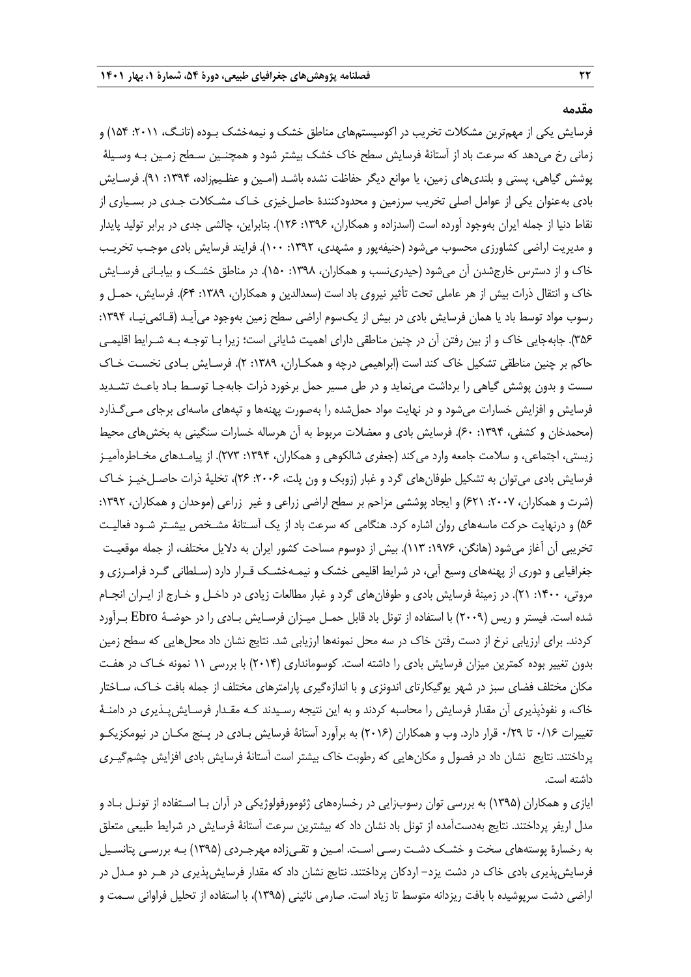**مقدمه**

فرسایش یکی از مهمترین مشکالت تخریب در اکوسیستمهای مناطق خشک و نیمهخشک بـوده )تانـگ، :2011 154( و زمانی رخ میدهد که سرعت باد از آستانۀ فرسایش سطح خاك خشک بیشتر شود و همچنـین سـطح زمـین بـه وسـیلۀ پوشش گیاهی، پستی و بلندیهای زمین، یا موانع دیگر حفاظت نشده باشـد (امـین و عظـیمزاده، ۱۳۹۴: ۹۱). فرسـایش بادی بهعنوان یکی از عوامل اصلی تخریب سرزمین و محدودکنندة حاصلخیزی خـاك مشـکالت جـدی در بسـیاری از نقاط دنیا از جمله ایران بهوجود آورده است (اسدزاده و همکاران، ۱۳۹۶: ۱۲۶). بنابراین، چالشی جدی در برابر تولید پایدار و مدیریت اراضی کشاورزی محسوب میشود )حنیفهپور و مشهدی، :1392 100(. فرایند فرسایش بادی موجـب تخریـب خاک و از دسترس خارجشدن آن میشود (حیدرینسب و همکاران، ۱۳۹۸: ۱۵۰). در مناطق خشـک و بیابـانی فرسـایش خاک و انتقال ذرات بیش از هر عاملی تحت تأثیر نیروی باد است (سعدالدین و همکاران، ۱۳۸۹: ۶۴). فرسایش، حمـل و رسوب مواد توسط باد یا همان فرسایش بادی در بیش از یکسوم اراضی سطح زمین بهوجود میآیـد (قـائمیiیـا، ۱۳۹۴: ۳۵۶). جابهجایی خاک و از بین رفتن آن در چنین مناطقی دارای اهمیت شایانی است؛ زیرا بـا توجـه بـه شـرایط اقلیمـی حاکم بر چنین مناطقی تشکیل خاک کند است (ابراهیمی درچه و همکـاران، ۱۳۸۹: ۲). فرسـایش بـادی نخسـت خـاک سست و بدون پوشش گیاهی را برداشت مینماید و در طی مسیر حمل برخورد ذرات جابهجـا توسـط بـاد باعـث تشـدید فرسایش و افزایش خسارات میشود و در نهایت مواد حملشده را بهصورت پهنهها و تپههای ماسهای برجای مـیگـذارد (محمدخان و کشفی، ۱۳۹۴: ۶۰). فرسایش بادی و معضلات مربوط به آن هرساله خسارات سنگینی به بخشهای محیط زیستی، اجتماعی، و سلامت جامعه وارد می کند (جعفری شالکوهی و همکاران، ۱۳۹۴: ۲۷۳). از پیامـدهای مخـاطرهآمیـز فرسایش بادی میتوان به تشکیل طوفانهای گرد و غبار (زوبک و ون پلت، ۲۰۰۶: ۲۶)، تخلیۀ ذرات حاصـلخیـز خـاک )شرت و همکاران، :2007 621( و ایجاد پوششی مزاحم بر سطح اراضی زراعی و غیر زراعی )موحدان و همکاران، :1392 56( و درنهایت حرکت ماسههای روان اشاره کرد. هنگامی که سرعت باد از یک آسـتانۀ مشـخص بیشـتر شـود فعالیـت تخریبی آن آغاز میشود (هانگن، ۱۹۷۶: ۱۱۳). بیش از دوسوم مساحت کشور ایران به دلایل مختلف، از جمله موقعیـت جغرافیایی و دوری از پهنههای وسیع آبی، در شرایط اقلیمی خشک و نیمـهخشـک قـرار دارد (سـلطانی گـرد فرامـرزی و مروتی، :1400 21(. در زمینۀ فرسایش بادی و طوفانهای گرد و غبار مطالعات زیادی در داخـل و خـارج از ایـران انجـام شده است. فیستر و ریس )2009( با استفاده از تونل باد قابل حمـل میـزان فرسـایش بـادی را در حوضـۀ Ebro بـرآورد کردند. برای ارزیابی نرخ از دست رفتن خاك در سه محل نمونهها ارزیابی شد. نتایج نشان داد محلهایی که سطح زمین بدون تغییر بوده کمترین میزان فرسایش بادی را داشته است. کوسومانداری )2014( با بررسی 11 نمونه خـاك در هفـت مکان مختلش فضای سبز در شهر یوگیکارتای اندونزی و با اندازهگیری پارامترهای مختلش از جمله بافت خـاك، سـاختار خاك، و نفوذپذیری آن مقدار فرسایش را محاسبه کردند و به این نتیجه رسـیدند کـه مقـدار فرسـایشپـذیری در دامنـۀ تغییرات ۱/۱۶ تا ۲۹/۰ قرار دارد. وب و همکاران (۲۰۱۶) به برآورد آستانۀ فرسایش بـادی در پـنج مکـان در نیومکزیکـو پرداختند. نتایج نشان داد در فصول و مکانهایی که رطوبت خاك بیشتر است آستانۀ فرسایش بادی افزایش چشمگیـری داشته است.

ایازی و همکاران )1395( به بررسی توان رسوبزایی در رخسارههای ژئومورفولوژیکی در آران بـا اسـتفاده از تونـل بـاد و مدل اریفر پرداختند. نتایج بهدستآمده از تونل باد نشان داد که بیشترین سرعت آستانۀ فرسایش در شرایط طبیعی متعلق به رخسارة پوستههای سخت و خشـک دشـت رسـی اسـت. امـین و تقـیزاده مهرجـردی )1395( بـه بررسـی پتانسـیل فرسایشپذیری بادی خاك در دشت یزد- اردکان پرداختند. نتایج نشان داد که مقدار فرسایشپذیری در هـر دو مـدل در اراضی دشت سرپوشیده با بافت ریزدانه متوسط تا زیاد است. صارمی نائینی (۱۳۹۵)، با استفاده از تحلیل فراوانی سـمت و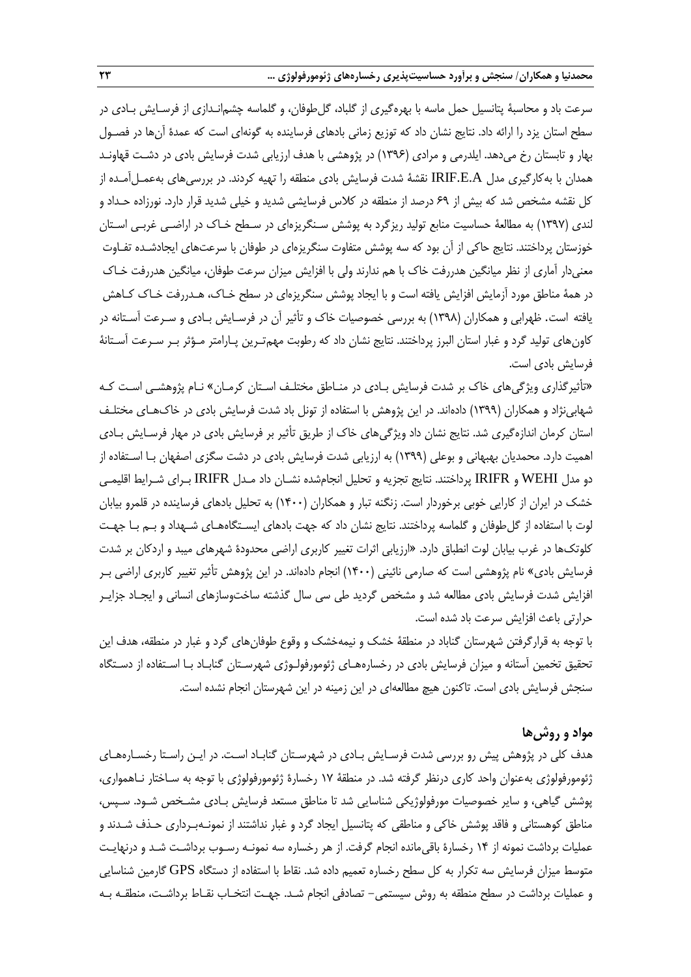سرعت باد و محاسبۀ پتانسیل حمل ماسه با بهرهگیری از گلباد، گلطوفان، و گلماسه چشمانـدازی از فرسـایش بـادی در سطح استان یزد را ارائه داد. نتایج نشان داد که توزیع زمانی بادهای فرساینده به گونهای است که عمدة آنها در فصـول بهار و تابستان رخ میدهد. ایلدرمی و مرادی )1396( در پژوهشی با هدف ارزیابی شدت فرسایش بادی در دشـت قهاونـد همدان با بهکارگیری مدل A.E.IRIF نقشۀ شدت فرسایش بادی منطقه را تهیه کردند. در بررسیهای بهعمـلآمـده از کل نقشه مشخص شد که بیش از 69 درصد از منطقه در کالس فرسایشی شدید و خیلی شدید قرار دارد. نورزاده حـداد و لندی )1397( به مطالعۀ حساسیت منابع تولید ریزگرد به پوشش سـنگریزهای در سـطح خـاك در اراضـی غربـی اسـتان خوزستان پرداختند. نتایج حاکی از آن بود که سه پوشش متفاوت سنگریزهای در طوفان با سرعتهای ایجادشـده تفـاوت معنیدار آماری از نظر میانگین هدررفت خاك با هم ندارند ولی با افزایش میزان سرعت طوفان، میانگین هدررفت خـاك در همۀ مناطق مورد آزمایش افزایش یافته است و با ایجاد پوشش سنگریزهای در سطح خـاك، هـدررفت خـاك کـاهش یافته است. ظهرابی و همکاران )1398( به بررسی خصوصیات خاك و تأثیر آن در فرسـایش بـادی و سـرعت آسـتانه در کاونهای تولید گرد و غبار استان البرز پرداختند. نتایج نشان داد که رطوبت مهمتـرین پـارامتر مـؤثر بـر سـرعت آسـتانۀ فرسایش بادی است.

»تأثیرگذاری ویژگیهای خاك بر شدت فرسایش بـادی در منـاطق مختلـش اسـتان کرمـان« نـام پژوهشـی اسـت کـه شهابینژاد و همکاران )1399( دادهاند. در این پژوهش با استفاده از تونل باد شدت فرسایش بادی در خاكهـای مختلـش استان کرمان اندازهگیری شد. نتایج نشان داد ویژگیهای خاك از طریق تأثیر بر فرسایش بادی در مهار فرسـایش بـادی اهمیت دارد. محمدیان بهبهانی و بوعلی )1399( به ارزیابی شدت فرسایش بادی در دشت سگزی اصفهان بـا اسـتفاده از دو مدل WEHI و IRIFR پرداختند. نتایج تجزیه و تحلیل انجامشده نشـان داد مـدل IRIFR بـرای شـرایط اقلیمـی خشک در ایران از کارایی خوبی برخوردار است. زنگنه تبار و همکاران )1400( به تحلیل بادهای فرساینده در قلمرو بیابان لوت با استفاده از گلطوفان و گلماسه پرداختند. نتایج نشان داد که جهت بادهای ایسـتگاههـای شـهداد و بـم بـا جهـت کلوتکها در غرب بیابان لوت انطباق دارد. »ارزیابی اثرات تغییر کاربری اراضی محدودة شهرهای میبد و اردکان بر شدت فرسایش بادی» نام پژوهشی است که صارمی نائینی (۱۴۰۰) انجام دادهاند. در این پژوهش تأثیر تغییر کاربری اراضی بـر افزایش شدت فرسایش بادی مطالعه شد و مشخص گردید طی سی سال گذشته ساختوسازهای انسانی و ایجـاد جزایـر حرارتی باعث افزایش سرعت باد شده است.

با توجه به قرارگرفتن شهرستان گناباد در منطقۀ خشک و نیمهخشک و وقوع طوفانهای گرد و غبار در منطقه، هدف این تحقیق تخمین آستانه و میزان فرسایش بادی در رخسارههـای ژئومورفولـوژی شهرسـتان گنابـاد بـا اسـتفاده از دسـتگاه سنجش فرسایش بادی است. تاکنون هیچ مطالعهای در این زمینه در این شهرستان انجام نشده است.

## **مواد و روشها**

هدف کلی در پژوهش پیش رو بررسی شدت فرسـایش بـادی در شهرسـتان گنابـاد اسـت. در ایـن راسـتا رخسـارههـای ژئومورفولوژی بهعنوان واحد کاری درنظر گرفته شد. در منطقۀ 17 رخسارة ژئومورفولوژی با توجه به سـاختار نـاهمواری، پوشش گیاهی، و سایر خصوصیات مورفولوژیکی شناسایی شد تا مناطق مستعد فرسایش بـادی مشـخص شـود. سـپس، مناطق کوهستانی و فاقد پوشش خاکی و مناطقی که پتانسیل ایجاد گرد و غبار نداشتند از نمونـهبـرداری حـذف شـدند و عملیات برداشت نمونه از 14 رخسارة باقیمانده انجام گرفت. از هر رخساره سه نمونـه رسـوب برداشـت شـد و درنهایـت متوسط میزان فرسایش سه تکرار به کل سطح رخساره تعمیم داده شد. نقاط با استفاده از دستگاه GPS گارمین شناسایی و عملیات برداشت در سطح منطقه به روش سیستمی- تصادفی انجام شـد. جهـت انتخـاب نقـاط برداشـت، منطقـه بـه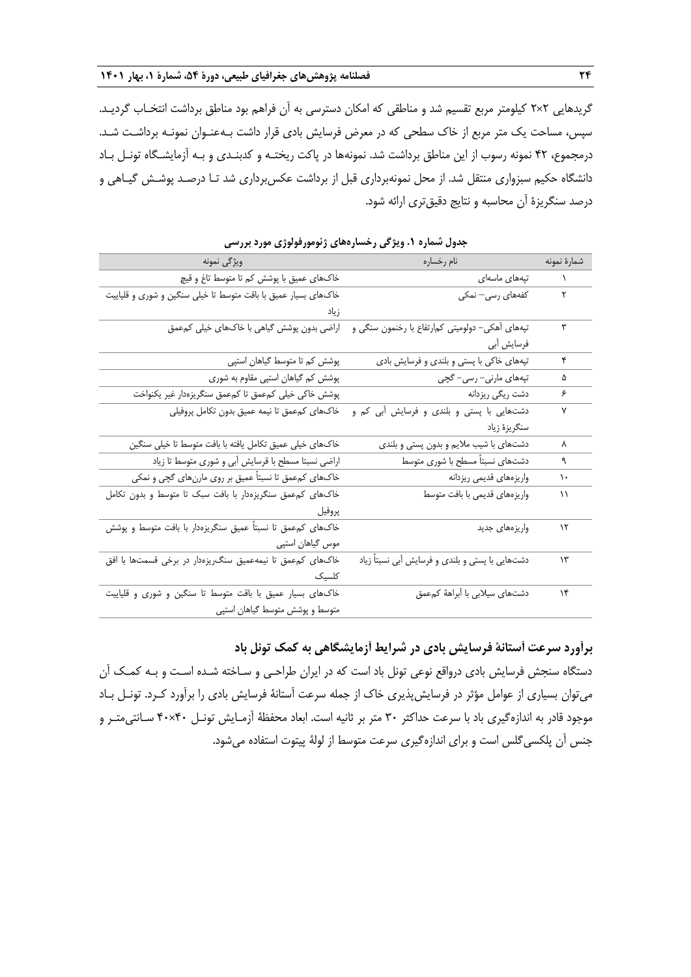گریدهایی 2×2 کیلومتر مربع تقسیم شد و مناطقی که امکان دسترسی به آن فراهم بود مناطق برداشت انتخـاب گردیـد. سپس، مساحت یک متر مربع از خاك سطحی که در معرض فرسایش بادی قرار داشت بـهعنـوان نمونـه برداشـت شـد. درمجموع، 42 نمونه رسوب از این مناطق برداشت شد. نمونهها در پاکت ریختـه و کدبنـدی و بـه آزمایشـگاه تونـل بـاد دانشگاه حکیم سبزواری منتقل شد. از محل نمونهبرداری قبل از برداشت عکسبرداری شد تـا درصـد پوشـش گیـاهی و درصد سنگریزة آن محاسبه و نتایج دقیقتری ارائه شود.

| ویژگی نمونه                                                    | المستحدث المستقل والمساره                        | شمارة نمونه   |
|----------------------------------------------------------------|--------------------------------------------------|---------------|
| خاکھای عمیق با پوشش کم تا متوسط تاغ و قیچ                      | تپەھاى ماسەاى                                    | $\mathcal{N}$ |
| خاکهای بسیار عمیق با باقت متوسط تا خیلی سنگین و شوری و قلیاییت | کفهها <i>ی</i> رسی— نمکی                         | ٢             |
|                                                                |                                                  |               |
| اراضی بدون پوشش گیاهی با خاکهای خیلی کمءمق                     | تپههای آهکی– دولومیتی کم رتفاع با رخنمون سنگی و  | ٣             |
|                                                                | فرسایش آبی                                       |               |
| پوشش کم تا متوسط گیاهان استپی                                  | تپههای خاکی با پستی و بلندی و فرسایش بادی        | ۴             |
| پوشش کم گیاهان استپی مقاوم به شوری                             | تپەھای مارنی- رسی- گچی                           | ۵             |
| پوشش خاکی خیلی کمءمق تا کمءمق سنگریزهدار غیر یکنواخت           | دشت ریگ <i>ی</i> ریزدانه                         | ۶             |
| خاكـهاى كمءمق تا نيمه عميق بدون تكامل پروفيلي                  | دشتهایی با پستی و بلندی و فرسایش آبی کم و        | ٧             |
|                                                                | سنگريزۂ زياد                                     |               |
| خاکھای خیلی عمیق تکامل یافته با بافت متوسط تا خیلی سنگین       | دشتهای با شیب ملایم و بدون پستی و بلندی          | ٨             |
| اراضی نسبتا مسطح با قرسایش آبی و شوری متوسط تا زیاد            | دشتهای نسبتاً مسطح با شوری متوسط                 | ٩             |
| خاکھای کمءمق تا نسبتاً عمیق بر روی مارنھای گچی و نمکی          | واريزههاي قديمي ريزدانه                          | ١.            |
| خاکهای کمءمق سنگریزهدار با بافت سبک تا متوسط و بدون تکامل      | واريزههاي قديمي با بافت متوسط                    | ۱۱            |
| پروفيل                                                         |                                                  |               |
| خاکهای کمءمق تا نسبتاً عمیق سنگریزهدار با بافت متوسط و پوشش    | واريزههاي جديد                                   | $\mathcal{N}$ |
| موس گیاهان استپی                                               |                                                  |               |
| خاکهای کمءمق تا نیمهعمیق سنگ یزهدار در برخی قسمتها با افق      | دشتهایی با پستی و بلندی و فرسایش آبی نسبتاً زیاد | ۱۳            |
| كلسيك                                                          |                                                  |               |
| خاکهای بسیار عمیق با باقت متوسط تا سنگین و شوری و قلیاییت      | دشتهای سیلابی با آبراههٔ کمعمق                   | ۱۴            |
| متوسط و پوشش متوسط گیاهان استپی                                |                                                  |               |

**جدول شماره .1 ویژگی رخسارههای ژئومورفولوژی مورد بررسی**

**برآورد سرعت آستانۀ فرسایش بادی در شرایط آزمایشگاهی به کمک تونل باد**

دستگاه سنجش فرسایش بادی درواقع نوعی تونل باد است که در ایران طراحـی و سـاخته شـده اسـت و بـه کمـک آن میتوان بسیاری از عوامل مؤثر در فرسایشپذیری خاك از جمله سرعت آستانۀ فرسایش بادی را برآورد کـرد. تونـل بـاد موجود قادر به اندازهگیری باد با سرعت حداکثر 30 متر بر ثانیه است. ابعاد محفظۀ آزمـایش تونـل 40×40 سـانتیمتـر و جنس آن پلکسی گلس است و برای اندازهگیری سرعت متوسط از لولۀ پیتوت استفاده میشود.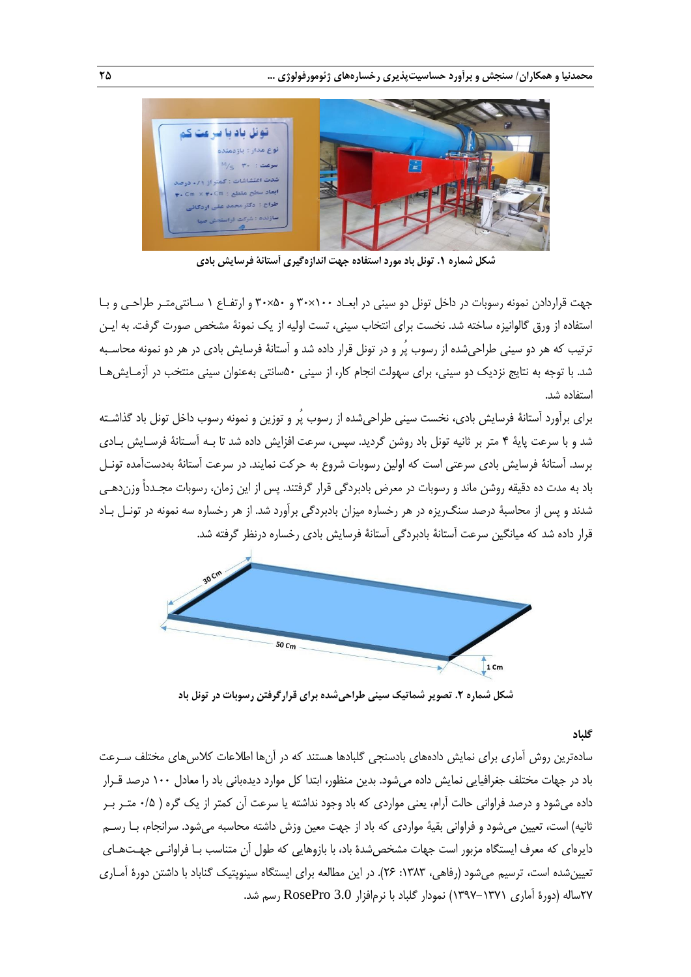

**شکل شماره .1 تونل باد مورد استفاده جهت اندازهگیری آستانۀ فرسایش بادی**

جهت قراردادن نمونه رسوبات در داخل تونل دو سینی در ابعـاد 100×30 و 50×30 و ارتفـاع 1 سـانتیمتـر طراحـی و بـا استفاده از ورق گالوانیزه ساخته شد. نخست برای انتخاب سینی، تست اولیه از یک نمونۀ مشخص صورت گرفت. به ایـن ترتیب که هر دو سینی طراحیشده از رسوب پُر و در تونل قرار داده شد و آستانۀ فرسایش بادی در هر دو نمونه محاسـبه شد. با توجه به نتایج نزدیک دو سینی، برای سهولت انجام کار، از سینی 50سانتی بهعنوان سینی منتخب در آزمـایشهـا استفاده شد.

برای برآورد آستانۀ فرسایش بادی، نخست سینی طراحیشده از رسوب پُر و توزین و نمونه رسوب داخل تونل باد گذاشـته شد و با سرعت پایۀ 4 متر بر ثانیه تونل باد روشن گردید. سپس، سرعت افزایش داده شد تا بـه آسـتانۀ فرسـایش بـادی برسد. آستانۀ فرسایش بادی سرعتی است که اولین رسوبات شروع به حرکت نمایند. در سرعت آستانۀ بهدستآمده تونـل باد به مدت ده دقیقه روشن ماند و رسوبات در معرض بادبردگی قرار گرفتند. پس از این زمان، رسوبات مجـدداً وزندهـی شدند و پس از محاسبۀ درصد سنگریزه در هر رخساره میزان بادبردگی برآورد شد. از هر رخساره سه نمونه در تونـل بـاد قرار داده شد که میانگین سرعت آستانۀ بادبردگی آستانۀ فرسایش بادی رخساره درنظر گرفته شد.



**شکل شماره .2 تصویر شماتیک سینی طراحیشده برای قرارگرفتن رسوبات در تونل باد**

#### **گلباد**

سادهترین روش آماری برای نمایش دادههای بادسنجی گلبادها هستند که در آنها اطالعات کالسهای مختلش سـرعت باد در جهات مختلش جغرافیایی نمایش داده میشود. بدین منظور، ابتدا کل موارد دیدهبانی باد را معادل 100 درصد قـرار داده میشود و درصد فراوانی حالت آرام، یعنی مواردی که باد وجود نداشته یا سرعت آن کمتر از یک گره ) 0/5 متـر بـر ثانیه) است، تعیین میشود و فراوانی بقیۀ مواردی که باد از جهت معین وزش داشته محاسبه میشود. سرانجام، بـا رسـم دایرهای که معرف ایستگاه مزبور است جهات مشخصشدة باد، با بازوهایی که طول آن متناسب بـا فراوانـی جهـتهـای تعیین شده است، ترسیم می شود (رفاهی، ۱۳۸۳: ۲۶). در این مطالعه برای ایستگاه سینوپتیک گناباد با داشتن دورهٔ آمـاری 27ساله )دورة آماری 1397-1371( نمودار گلباد با نرمافزار 3.0 RosePro رسم شد.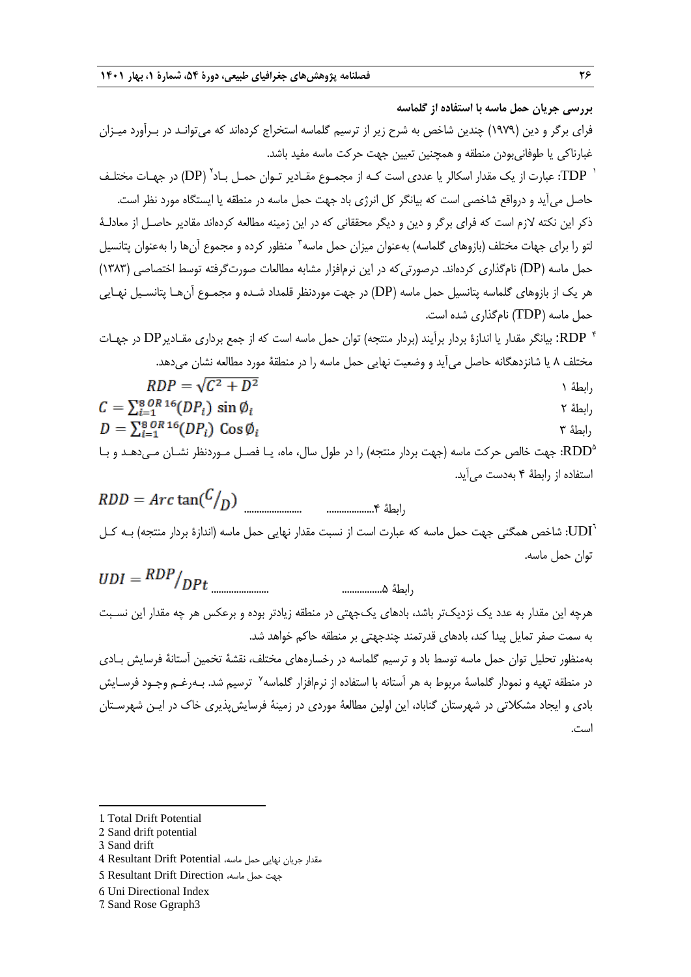**بررسی جریان حمل ماسه با استفاده از گلماسه** فرای برگر و دین )1979( چندین شاخص به شرح زیر از ترسیم گلماسه استخراج کردهاند که میتوانـد در بـرآورد میـزان غبارناکی یا طوفانیبودن منطقه و همچنین تعیین جهت حرکت ماسه مفید باشد. 1 2 TDP: عبارت از یک مقدار اسکالر یا عددی است کـه از مجمـوع مقـادیر تـوان حمـل بـاد )DP )در جهـات مختلـش حاصل میآید و درواقع شاخصی است که بیانگر کل انرژی باد جهت حمل ماسه در منطقه یا ایستگاه مورد نظر است. ذکر این نکته الزم است که فرای برگر و دین و دیگر محققانی که در این زمینه مطالعه کردهاند مقادیر حاصـل از معادلـۀ لتو را برای جهات مختلف (بازوهای گلماسه) بهعنوان میزان حمل ماسه<sup>۳</sup> منظور کرده و مجموع آنها را بهعنوان پتانسیل حمل ماسه (DP) نامگذاری کردهاند. درصورتی که در این نرمافزار مشابه مطالعات صورتگرفته توسط اختصاصی (۱۳۸۳) هر یک از بازوهای گلماسه پتانسیل حمل ماسه )DP )در جهت موردنظر قلمداد شـده و مجمـوع آنهـا پتانسـیل نهـایی حمل ماسه )TDP )نامگذاری شده است. 4 RDP: بیانگر مقدار یا اندازة بردار برآیند )بردار منتجه( توان حمل ماسه است که از جمع برداری مقـادیرDP در جهـات مختلش 8 یا شانزدهگانه حاصل میآید و وضعیت نهایی حمل ماسه را در منطقۀ مورد مطالعه نشان میدهد.  $RDP = \sqrt{C^2 + D^2}$ 

$$
RDP = \sqrt{C^2 + D^2}
$$
  
\n
$$
C = \sum_{i=1}^{8} \frac{\partial R}{i} \cdot 6(DP_i) \sin \phi_i
$$

$$
D = \sum_{i=1}^{8} {^{OR}_{i}}^{16} (DP_{i}) \cos \phi_{i}
$$

5 RDD: جهت خالص حرکت ماسه )جهت بردار منتجه( را در طول سال، ماه، یـا فصـل مـوردنظر نشـان مـیدهـد و بـا استفاده از رابطۀ 4 بهدست میآید.

رابطۀ ...................4 .......................

 ${\rm UDI}^7$ : شاخص همگنی جهت حمل ماسه که عبارت است از نسبت مقدار نهایی حمل ماسه (اندازهٔ بردار منتجه) بـه کـل توان حمل ماسه.  $nnn$ 

$$
UDI = \frac{RDP}{DPt}
$$
 ... *...* ... *... ...*

هرچه این مقدار به عدد یک نزدیکتر باشد، بادهای یکجهتی در منطقه زیادتر بوده و برعکس هر چه مقدار این نسـبت به سمت صفر تمایل پیدا کند، بادهای قدرتمند چندجهتی بر منطقه حاکم خواهد شد.

بهمنظور تحلیل توان حمل ماسه توسط باد و ترسیم گلماسه در رخسارههای مختلف، نقشۀ تخمین آستانۀ فرسایش بـادی در منطقه تهیه و نمودار گلماسهٔ مربوط به هر آستانه با استفاده از نرمافزار گلماسه<sup>۷</sup> ترسیم شد. بـهرغـم وجـود فرسـایش بادی و ایجاد مشکالتی در شهرستان گناباد، این اولین مطالعۀ موردی در زمینۀ فرسایشپذیری خاك در ایـن شهرسـتان است.

3. Sand drift

-

مقدار جریان نهایی حمل ماسه، Potential Drift Resultant 4.

- 6. Uni Directional Index
- 7. Sand Rose Ggraph3

<sup>1.</sup> Total Drift Potential

<sup>2.</sup> Sand drift potential

جهت حمل ماسه، Direction Drift Resultant 5.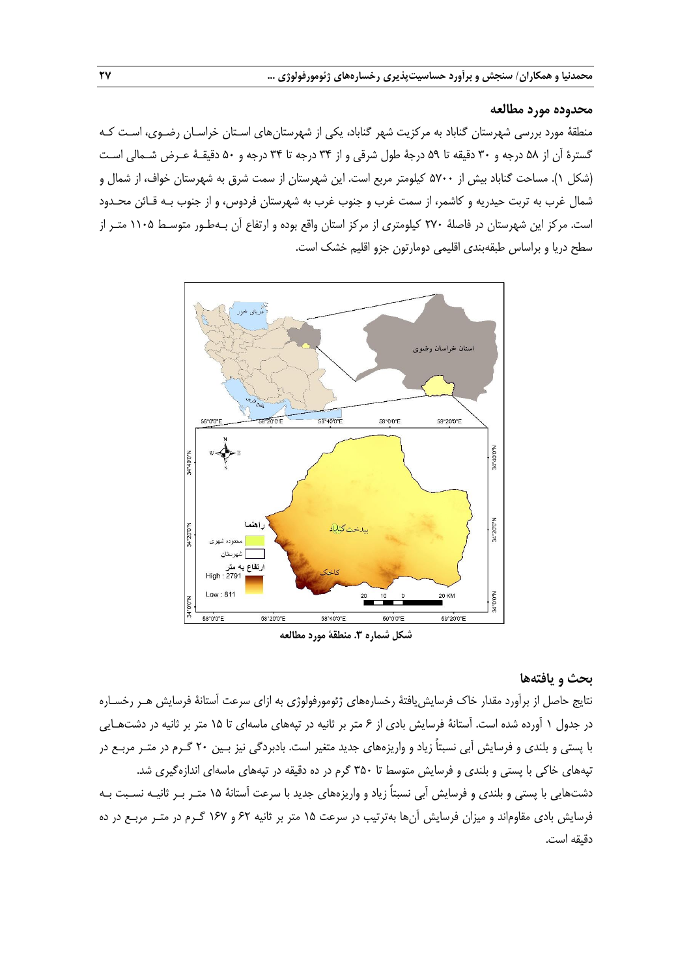#### **محدوده مورد مطالعه**

منطقۀ مورد بررسی شهرستان گناباد به مرکزیت شهر گناباد، یکی از شهرستانهای اسـتان خراسـان رضـوی، اسـت کـه گسترة آن از 58 درجه و 30 دقیقه تا 59 درجۀ طول شرقی و از 34 درجه تا 34 درجه و 50 دقیقـۀ عـرض شـمالی اسـت )شکل 1(. مساحت گناباد بیش از 5700 کیلومتر مربع است. این شهرستان از سمت شرق به شهرستان خواف، از شمال و شمال غرب به تربت حیدریه و کاشمر، از سمت غرب و جنوب غرب به شهرستان فردوس، و از جنوب بـه قـائن محـدود است. مرکز این شهرستان در فاصلۀ 270 کیلومتری از مرکز استان واقع بوده و ارتفاع آن بـهطـور متوسـ 1105 متـر از سطح دریا و براساس طبقهبندی اقلیمی دومارتون جزو اقلیم خشک است.



**شکل شماره .3 منطقۀ مورد مطالعه**

## **بحث و یافتهها**

نتایج حاصل از برآورد مقدار خاك فرسایشیافتۀ رخسارههای ژئومورفولوژی به ازای سرعت آستانۀ فرسایش هـر رخسـاره در جدول 1 آورده شده است. آستانۀ فرسایش بادی از 6 متر بر ثانیه در تپههای ماسهای تا 15 متر بر ثانیه در دشتهـایی با پستی و بلندی و فرسایش آبی نسبتاً زیاد و واریزههای جدید متغیر است. بادبردگی نیز بـین 20 گـرم در متـر مربـع در تپههای خاکی با پستی و بلندی و فرسایش متوسط تا ۳۵۰ گرم در ده دقیقه در تپههای ماسهای اندازهگیری شد. دشتهایی با پستی و بلندی و فرسایش آبی نسبتاً زیاد و واریزههای جدید با سرعت آستانۀ 15 متـر بـر ثانیـه نسـبت بـه فرسایش بادی مقاوماند و میزان فرسایش آنها بهترتیب در سرعت 15 متر بر ثانیه 62 و 167 گـرم در متـر مربـع در ده دقیقه است.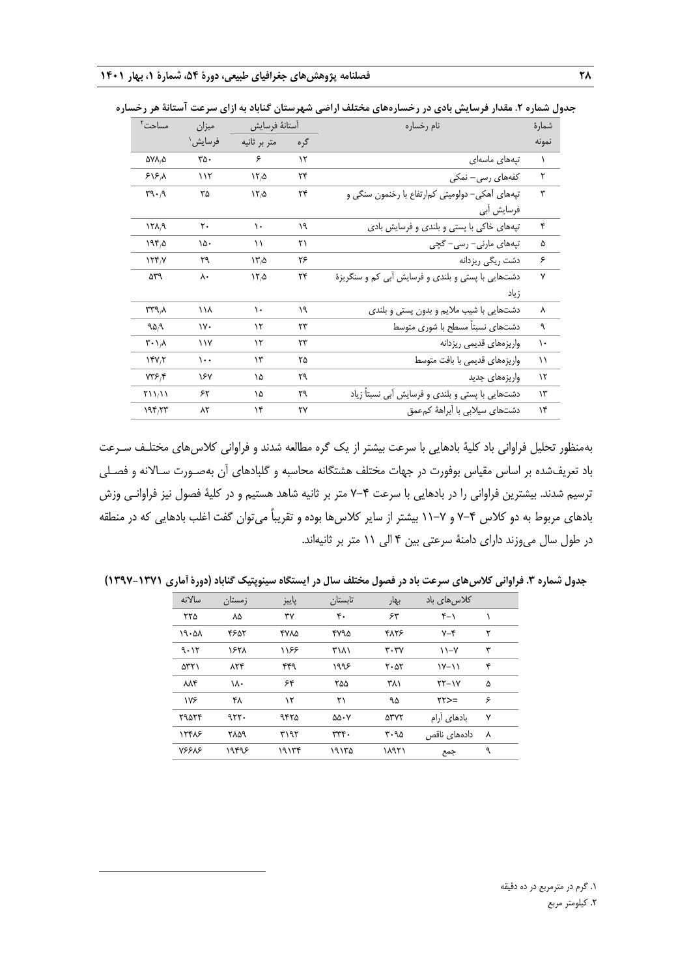| مساحت <sup>٢</sup>                          | ميزان         | آستانهٔ فرسایش            |               | نام رخساره                                         | شمارة         |
|---------------------------------------------|---------------|---------------------------|---------------|----------------------------------------------------|---------------|
|                                             | فرسايش'       | متر بر ثانيه              | گره           |                                                    | نمونه         |
| ۵۷۸٫۵                                       | ۳۵۰           | ۶                         | $\mathcal{N}$ | تپەھاي ماسەاي                                      | $\lambda$     |
| $515\,$                                     | 117           | $\frac{1}{4}$             | ۲۴            | کفهها <i>ی</i> رسی– نمکی                           | ٢             |
| $\Gamma \cdot \rho$                         | ٣۵            | 15.0                      | ٢۴            | تپههای آهکی– دولومیتی کم رتفاع با رخنمون سنگی و    | ٣             |
|                                             |               |                           |               | فرسایش أبی                                         |               |
| $15\lambda/9$                               | ٢٠            | ١.                        | ۱۹            | تپههای خاکی با پستی و بلندی و فرسایش بادی          | ۴             |
| 1950                                        | ۱۵۰           | ۱۱                        | ۲۱            | تپەھاي مارنى– رسى– گچى                             | ۵             |
| $\mathcal{N}(\mathcal{F})$                  | ٣٩            | $\mathcal{N}'\mathcal{L}$ | ۲۶            | دشت ریگی ریزدانه                                   | ۶             |
| ۵۳۹                                         | ٨٠            | 150                       | ۲۴            | دشتهایی با پستی و بلندی و فرسایش آبی کم و سنگریزهٔ | ٧             |
|                                             |               |                           |               | زياد                                               |               |
| ۳۳۹,۸                                       | ۱۱۸           | ١.                        | ۱۹            | دشتهایی با شیب ملایم و بدون پستی و بلندی           | ٨             |
| 90A                                         | $\mathsf{v}$  | $\mathcal{N}$             | ٢٣            | دشتهای نسبتاً مسطح با شوری متوسط                   | ٩             |
| $\mathcal{N} \cdot \mathcal{N}$             | $\frac{1}{4}$ | ۱۲                        | ۲۳            | واريزههاي قديمي ريزدانه                            | $\mathcal{L}$ |
| YY/Y                                        | $\cdots$      | ۱۳                        | ۲۵            | واریزههای قدیمی با بافت متوسط                      | ۱۱            |
| YY5F                                        | ۱۶۷           | ۱۵                        | ٢٩            | واریزههای جدید                                     | $\mathcal{N}$ |
| $Y \setminus \setminus \setminus \setminus$ | ۶۲            | ۱۵                        | ٣٩            | دشتهایی با پستی و بلندی و فرسایش آبی نسبتاً زیاد   | ۱۳            |
| 195,77                                      | ۸۲            | ۱۴                        | ٢٧            | دشتهای سیلابی با آبراههٔ کمعمق                     | ١۴            |

**جدول شماره .2 مقدار فرسایش بادی در رخسارههای مختلف اراضی شهرستان گناباد به ازای سرعت آستانة هر رخساره**

بهمنظور تحلیل فراوانی باد کلیۀ بادهایی با سرعت بیشتر از یک گره مطالعه شدند و فراوانی کالسهای مختلـش سـرعت باد تعریششده بر اساس مقیاس بوفورت در جهات مختلش هشتگانه محاسبه و گلبادهای آن بهصـورت سـاالنه و فصـلی ترسیم شدند. بیشترین فراوانی را در بادهایی با سرعت 7-4 متر بر ثانیه شاهد هستیم و در کلیۀ فصول نیز فراوانـی وزش بادهای مربوط به دو کالس 7-4 و 11-7 بیشتر از سایر کالسها بوده و تقریباً میتوان گفت اغلب بادهایی که در منطقه در طول سال میوزند دارای دامنۀ سرعتی بین 4 الی 11 متر بر ثانیهاند.

**جدول شماره .3 فراوانی کالسهای سرعت باد در فصول مختلف سال در ایستگاه سینوپتیک گناباد )دورۀ آماری 1397-1371(**

| سالانه | زمستان | پاييز | تابستان               | بهار                                     | کلاس ها <i>ی</i> باد |   |
|--------|--------|-------|-----------------------|------------------------------------------|----------------------|---|
| ۲۲۵    | ٨۵     | ٣٧    | ۴٠                    | ۶۳                                       | $f-1$                |   |
| 19.21  | ۴۶۵۲   | ۴۷۸۵  | ۴۷۹۵                  | ۴۸۲۶                                     | $Y - Y$              | ۲ |
| ۹۰۱۲   | ۱۶۲۸   | ۱۱۶۶  | ۳۱۸۱                  | $\mathbf{r} \cdot \mathbf{r} \mathbf{v}$ | $\lambda - \gamma$   | ٣ |
| ۵۳۲۱   | ۸۲۴    | ۴۴۹   | ۱۹۹۶                  | $\mathsf{r}\cdot\mathsf{a}\mathsf{r}$    | $Y-11$               | ۴ |
| ለለ۴    | ١٨٠    | ۶۴    | ۲۵۵                   | ۳۸۱                                      | $YY-YY$              | ۵ |
| ۱۷۶    | ۴۸     | ۱۲    | ۲۱                    | ۹۵                                       | $YY>=$               | ۶ |
| ۲۹۵۲۴  | 977.   | ۹۴۲۵  | $\Delta\Delta\cdot V$ | <b>ATYT</b>                              | بادهای آرام          | ٧ |
| 12418  | ۲۸۵۹   | ۳۱۹۲  | $rrr$ .               | ۳۰۹۵                                     | دادەھای ناقص         | ٨ |
| 78888  | ۱۹۴۹۶  | ۱۹۱۳۴ | ۱۹۱۳۵                 | ۱۸۹۲۱                                    | جمع                  | ٩ |

**.**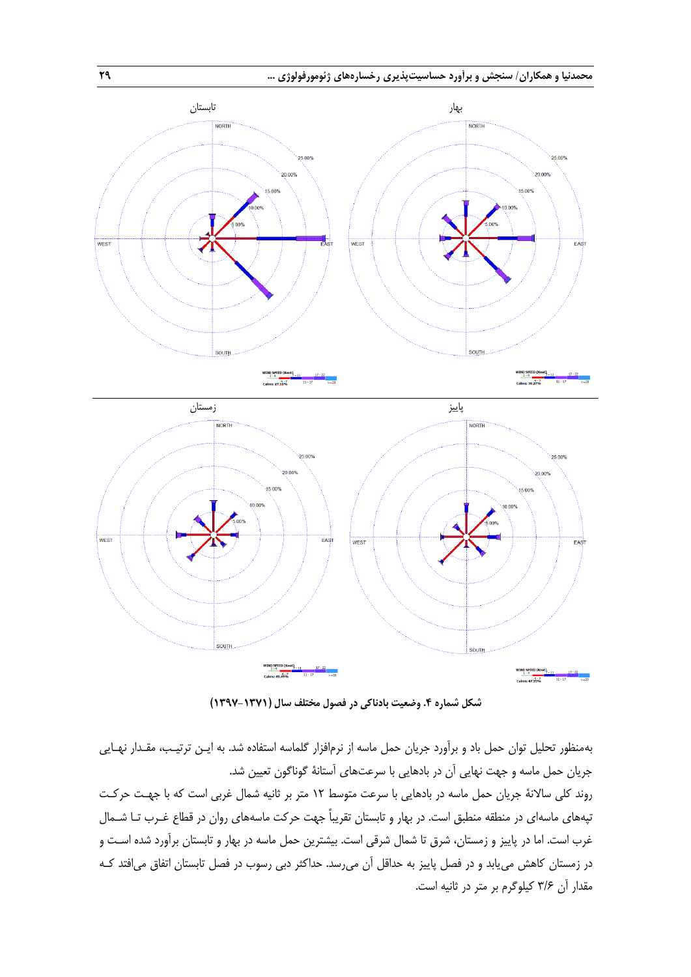

**شکل شماره .4 وضعیت بادناکی در فصول مختلف سال )1397-1371(**

بهمنظور تحلیل توان حمل باد و برآورد جریان حمل ماسه از نرمافزار گلماسه استفاده شد. به ایـن ترتیـب، مقـدار نهـایی جریان حمل ماسه و جهت نهایی آن در بادهایی با سرعتهای آستانۀ گوناگون تعیین شد.

روند کلی ساالنۀ جریان حمل ماسه در بادهایی با سرعت متوس 12 متر بر ثانیه شمال غربی است که با جهـت حرکـت تپههای ماسهای در منطقه منطبق است. در بهار و تابستان تقریباً جهت حرکت ماسههای روان در قطاع غـرب تـا شـمال غرب است. اما در پاییز و زمستان، شرق تا شمال شرقی است. بیشترین حمل ماسه در بهار و تابستان برآورد شده اسـت و در زمستان کاهش مییابد و در فصل پاییز به حداقل آن میرسد. حداکثر دبی رسوب در فصل تابستان اتفاق میافتد کـه مقدار آن 3/6 کیلوگرم بر متر در ثانیه است.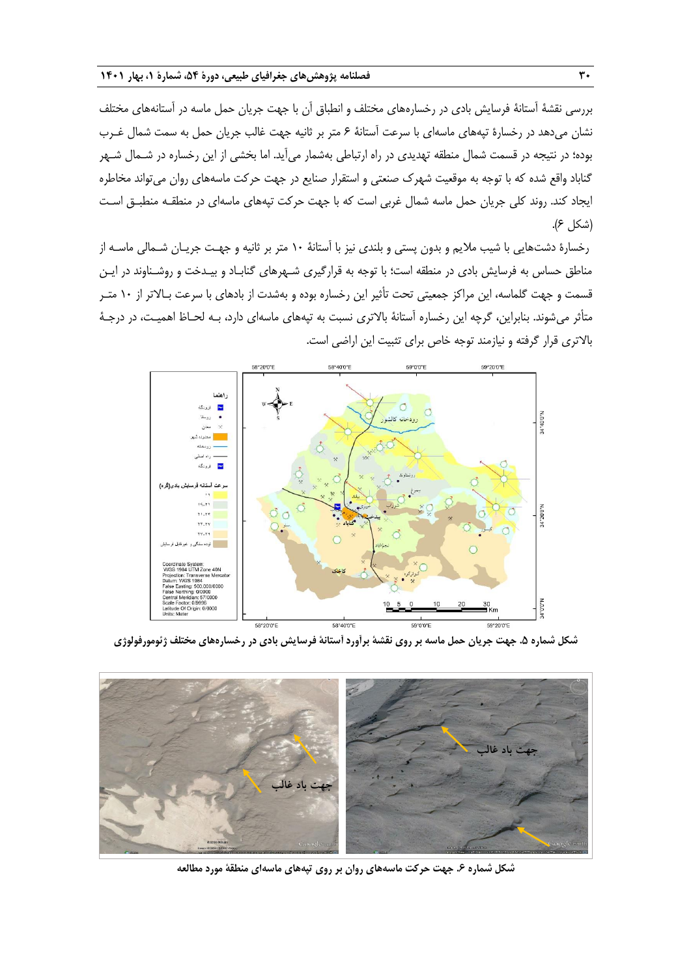بررسی نقشۀ آستانۀ فرسایش بادی در رخسارههای مختلش و انطباق آن با جهت جریان حمل ماسه در آستانههای مختلش نشان میدهد در رخسارة تپههای ماسهای با سرعت آستانۀ 6 متر بر ثانیه جهت غالب جریان حمل به سمت شمال غـرب بوده؛ در نتیجه در قسمت شمال منطقه تهدیدی در راه ارتباطی بهشمار میآید. اما بخشی از این رخساره در شـمال شـهر گناباد واقع شده که با توجه به موقعیت شهرك صنعتی و استقرار صنایع در جهت حرکت ماسههای روان میتواند مخاطره ایجاد کند. روند کلی جریان حمل ماسه شمال غربی است که با جهت حرکت تپههای ماسهای در منطقـه منطبـق اسـت )شکل 6(.

رخسارة دشتهایی با شیب مالیم و بدون پستی و بلندی نیز با آستانۀ 10 متر بر ثانیه و جهـت جریـان شـمالی ماسـه از مناطق حساس به فرسایش بادی در منطقه است؛ با توجه به قرارگیری شـهرهای گنابـاد و بیـدخت و روشـناوند در ایـن قسمت و جهت گلماسه، این مراکز جمعیتی تحت تأثیر این رخساره بوده و بهشدت از بادهای با سرعت بـاالتر از 10 متـر متأثر میشوند. بنابراین، گرچه این رخساره آستانۀ بالاتری نسبت به تپههای ماسهای دارد، بـه لحـاظ اهمیـت، در درجـۀ باالتری قرار گرفته و نیازمند توجه خاص برای تثبیت این اراضی است.



**شکل شماره .5 جهت جریان حمل ماسه بر روی نقشۀ برآورد آستانۀ فرسایش بادی در رخسارههای مختلف ژئومورفولوژی**



**شکل شماره .6 جهت حرکت ماسههای روان بر روی تپههای ماسهای منطقۀ مورد مطالعه**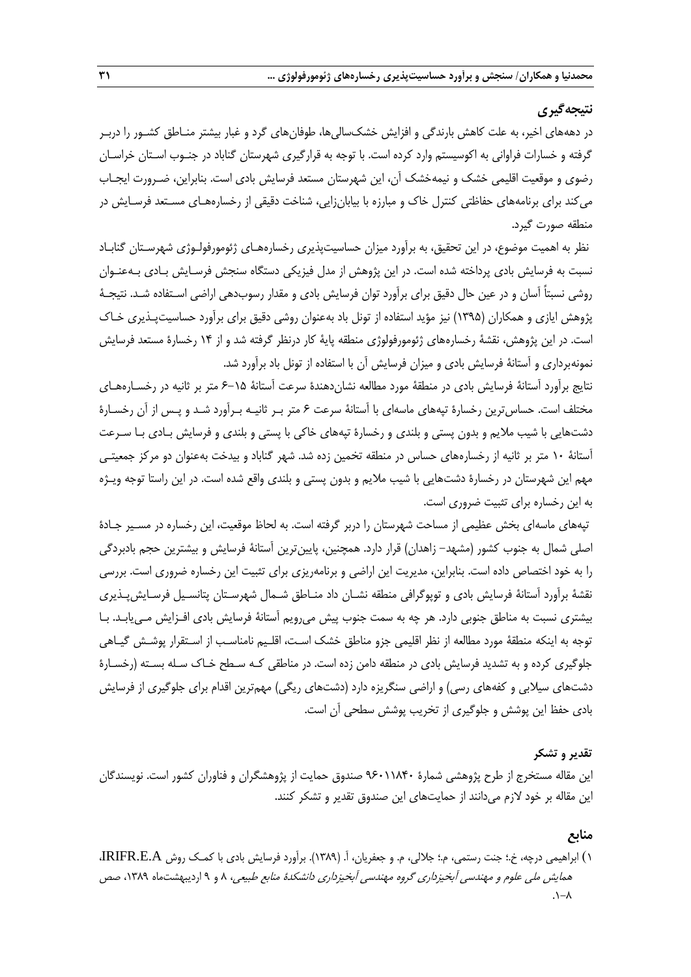## **نتیجهگیری**

در دهههای اخیر، به علت کاهش بارندگی و افزایش خشکسالیها، طوفانهای گرد و غبار بیشتر منـاطق کشـور را دربـر گرفته و خسارات فراوانی به اکوسیستم وارد کرده است. با توجه به قرارگیری شهرستان گناباد در جنـوب اسـتان خراسـان رضوی و موقعیت اقلیمی خشک و نیمهخشک آن، این شهرستان مستعد فرسایش بادی است. بنابراین، ضـرورت ایجـاب میکند برای برنامههای حفاظتی کنترل خاك و مبارزه با بیابانزایی، شناخت دقیقی از رخسارههـای مسـتعد فرسـایش در منطقه صورت گیرد.

نظر به اهمیت موضوع، در این تحقیق، به برآورد میزان حساسیتپذیری رخسارههـای ژئومورفولـوژی شهرسـتان گنابـاد نسبت به فرسایش بادی پرداخته شده است. در این پژوهش از مدل فیزیکی دستگاه سنجش فرسـایش بـادی بـهعنـوان روشی نسبتاً آسان و در عین حال دقیق برای برآورد توان فرسایش بادی و مقدار رسوبدهی اراضی اسـتفاده شـد. نتیجـۀ پژوهش ایازی و همکاران )1395( نیز مؤید استفاده از تونل باد بهعنوان روشی دقیق برای برآورد حساسیتپـذیری خـاك است. در این پژوهش، نقشۀ رخسارههای ژئومورفولوژی منطقه پایۀ کار درنظر گرفته شد و از 14 رخسارة مستعد فرسایش نمونهبرداری و آستانۀ فرسایش بادی و میزان فرسایش آن با استفاده از تونل باد برآورد شد.

نتایج برآورد آستانۀ فرسایش بادی در منطقۀ مورد مطالعه نشاندهندة سرعت آستانۀ 6-15 متر بر ثانیه در رخسـارههـای مختلش است. حساسترین رخسارة تپههای ماسهای با آستانۀ سرعت 6 متر بـر ثانیـه بـرآورد شـد و پـس از آن رخسـارة دشتهایی با شیب مالیم و بدون پستی و بلندی و رخسارة تپههای خاکی با پستی و بلندی و فرسایش بـادی بـا سـرعت آستانۀ 10 متر بر ثانیه از رخسارههای حساس در منطقه تخمین زده شد. شهر گناباد و بیدخت بهعنوان دو مرکز جمعیتـی مهم این شهرستان در رخسارة دشتهایی با شیب مالیم و بدون پستی و بلندی واقع شده است. در این راستا توجه ویـژه به این رخساره برای تثبیت ضروری است.

تپههای ماسهای بخش عظیمی از مساحت شهرستان را دربر گرفته است. به لحاظ موقعیت، این رخساره در مسـیر جـادهٔ اصلی شمال به جنوب کشور )مشهد- زاهدان( قرار دارد. همچنین، پایینترین آستانۀ فرسایش و بیشترین حجم بادبردگی را به خود اختصاص داده است. بنابراین، مدیریت این اراضی و برنامهریزی برای تثبیت این رخساره ضروری است. بررسی نقشۀ برآورد آستانۀ فرسایش بادی و توپوگرافی منطقه نشـان داد منـاطق شـمال شهرسـتان پتانسـیل فرسـایشپـذیری بیشتری نسبت به مناطق جنوبی دارد. هر چه به سمت جنوب پیش میرویم آستانۀ فرسایش بادی افـزایش مـییابـد. بـا توجه به اینکه منطقۀ مورد مطالعه از نظر اقلیمی جزو مناطق خشک اسـت، اقلـیم نامناسـب از اسـتقرار پوشـش گیـاهی جلوگیری کرده و به تشدید فرسایش بادی در منطقه دامن زده است. در مناطقی کـه سـطح خـاك سـله بسـته )رخسـارة دشتهای سیلابی و کفههای رسی) و اراضی سنگریزه دارد (دشتهای ریگی) مهمترین اقدام برای جلوگیری از فرسایش بادی حفظ این پوشش و جلوگیری از تخریب پوشش سطحی آن است.

#### **تقدیر و تشکر**

این مقاله مستخرج از طرح پژوهشی شمارة 96011840 صندوق حمایت از پژوهشگران و فناوران کشور است. نویسندگان این مقاله بر خود الزم میدانند از حمایتهای این صندوق تقدیر و تشکر کنند.

#### **منابع**

1( ابراهیمی درچه، خ.؛ جنت رستمی، م.؛ جاللی، م. و جعفریان، آ. )1389(. برآورد فرسایش بادی با کمـک روش A.E.IRIFR، همایش ملی علوم و مهندسی آبخیزداری گروه مهندسی آبخیزداری دانشکدة منابع طبیعی، 8 و 9 اردیبهشتماه ،1389 صص  $\lambda - \lambda$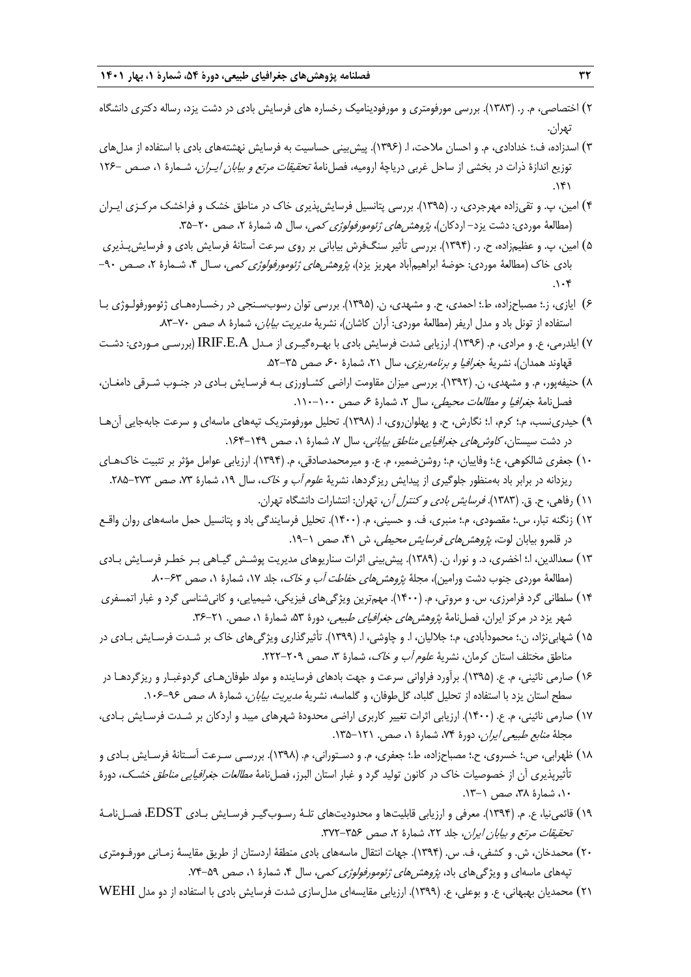- 2( اختصاصی، م. ر. )1383(. بررسی مورفومتری و مورفودینامیک رخساره های فرسایش بادی در دشت یزد، رساله دکتری دانشگاه تهران.
- 3( اسدزاده، ف.؛ خدادادی، م. و احسان مالحت، ا. )1396(. پیشبینی حساسیت به فرسایش نهشتههای بادی با استفاده از مدلهای توزیع اندازة ذرات در بخشی از ساحل غربی دریاچۀ ارومیه، فصلنامۀ تحقیقات مرتع <sup>و</sup> بیابان ایـران، شـمارة ،1 صـص 126-  $.141$
- 4( امین، پ. و تقیزاده مهرجردی، ر. )1395(. بررسی پتانسیل فرسایشپذیری خاك در مناطق خشک و فراخشک مرکـزی ایـران (مطالعۀ موردی: دشت یزد- اردکان)، *پژوهش های ژئومورفولوژی کمی*، سال ۵، شمارۀ ۲، صص ۲۰-۳۵.
- 5( امین، پ. و عظیمزاده، ح. ر. )1394(. بررسی تأثیر سنگفرش بیابانی بر روی سرعت آستانۀ فرسایش بادی و فرسایشپـذیری بادی خاک (مطالعۀ موردی: حوضۀ ابراهیمآباد مهریز یزد)*، پژوهشهای ژئومورفولوژی کمی*، سـال ۴، شـمارۀ ۲، صـص ۹۰- $.1.9$
- 6( ایازی، ز.؛ مصباحزاده، ط.؛ احمدی، ح. و مشهدی، ن. )1395(. بررسی توان رسوبسـنجی در رخسـارههـای ژئومورفولـوژی بـا استفاده از تونل باد و مدل اریفر (مطالعۀ موردی: آران کاشان)، نشریۀ *مدیریت بیابان*، شمارۀ ۸، صص ۷۰-۸۳.
- 7( ایلدرمی، ع. و مرادی، م. )1396(. ارزیابی شدت فرسایش بادی با بهـرهگیـری از مـدل A.E.IRIF( بررسـی مـوردی: دشـت قهاوند همدان)، نشریۀ *جغرافیا و برنامهریزی*، سال ۲۱، شمارۀ ۶۰، صص ۳۵–۵۲.
- 8( حنیفهپور، م. و مشهدی، ن. )1392(. بررسی میزان مقاومت اراضی کشـاورزی بـه فرسـایش بـادی در جنـوب شـرقی دامغـان، فصلنامۀ *جغرافیا و مطالعات محیطی،* سال ۲، شمارۀ ۶، صص ۱۰۰-۱۱۰.
- 9( حیدرینسب، م.؛ کرم، ا.؛ نگارش، ح. و پهلوانروی، ا. )1398(. تحلیل مورفومتریک تپههای ماسهای و سرعت جابهجایی آنهـا در دشت سیستان، *کاوشهای جغرافیایی مناطق بیابانی*، سال ۷، شمارهٔ ۱، صص ۱۴۹–۱۶۴.
- 10( جعفری شالکوهی، ع.؛ وفاییان، م.؛ روشنضمیر، م. ع. و میرمحمدصادقی، م. )1394(. ارزیابی عوامل مؤثر بر تثبیت خاكهـای ریزدانه در برابر باد بهمنظور جلوگیری از پیدایش ریزگردها، نشریۀ *علوم آب و خاک،* سال ۱۹، شمارۀ ۷۳، صص ۲۷۳–۲۸۵.
	- ۱۱) رفاهی، ح. ق. (۱۳۸۳). *فرسایش بادی و کنترل آن*، تهران: انتشارات دانشگاه تهران.
- 12( زنگنه تبار، س.؛ مقصودی، م.؛ منبری، ف. و حسینی، م. )1400(. تحلیل فرسایندگی باد و پتانسیل حمل ماسههای روان واقـع در قلمرو بیابان لوت، *پژوهشهای فرسایش محیطی*، ش ۴۱، صص ۱-۱۹.
- 13( سعدالدین، ا.؛ اخضری، د. و نورا، ن. )1389(. پیشبینی اثرات سناریوهای مدیریت پوشـش گیـاهی بـر خطـر فرسـایش بـادی (مطالعۀ موردی جنوب دشت ورامین)، مجلۀ *پژوهشهای حفاطت آب و خاک*، جلد ۱۷، شمارۀ ۱، صص ۶۳-۸۰.
- 14( سلطانی گرد فرامرزی، س. و مروتی، م. )1400(. مهمترین ویژگیهای فیزیکی، شیمیایی، و کانیشناسی گرد و غبار اتمسفری شهر یزد در مرکز ایران، فصلنامۀ *پژوهشهای جغرافیای طبیعی،* دورۀ ۵۳، شمارۀ ۰، صص. ۲۱-۳۶.
- 15( شهابینژاد، ن.؛ محمودآبادی، م.؛ جاللیان، ا. و چاوشی، ا. )1399(. تأثیرگذاری ویژگیهای خاك بر شـدت فرسـایش بـادی در مناطق مختلف استان کرمان، نشریۀ *علوم آب و خاک*، شمارۀ ۳، صص ۲۰۹–۲۲۲.
- ۱۶) صارمی نائینی، م. ع. (۱۳۹۵). برآورد فراوانی سرعت و جهت بادهای فرساینده و مولد طوفانهـای گردوغبـار و ریزگردهـا در سطح استان یزد با استفاده از تحلیل گلباد، گلطوفان، و گلماسه، نشریهٔ *مدیریت بیابان،* شمارهٔ ۸*۰ صص ۹۶–۱۰۶*۰.
- 17( صارمی نائینی، م. ع. )1400(. ارزیابی اثرات تغییر کاربری اراضی محدودة شهرهای میبد و اردکان بر شـدت فرسـایش بـادی، مجلهٔ *منابع طبیعی ایران*، دورهٔ ۷۴، شمارهٔ ۰۱ صص. ۱۲۱–۱۳۵.
- 18( ظهرابی، ص.؛ خسروی، ح.؛ مصباحزاده، ط.؛ جعفری، م. و دسـتورانی، م. )1398(. بررسـی سـرعت آسـتانۀ فرسـایش بـادی و تأثیرپذیری آن از خصوصیات خاك در کانون تولید گرد و غبار استان البرز، فصلنامۀ مطالعات جغرافیایی مناطق خشـک، دورة ،10 شمارة ،38 صص .13-1
- 19( قائمینیا، ع. م. )1394(. معرفی و ارزیابی قابلیتها و محدودیتهای تلـۀ رسـوبگیـر فرسـایش بـادی EDST، فصـلنامـۀ تحقیقات مرتع و بیابان ایران، جلد ۲۲، شمارهٔ ۲، صص ۳۵۶-۳۷۲.
- ۲۰) محمدخان، ش. و کشفی، ف. س. (۱۳۹۴). جهات انتقال ماسههای بادی منطقۀ اردستان از طریق مقایسۀ زمـانی مورفـومتری تپههای ماسهای و ویژگی های باد، *پژوهش های ژئومورفولوژی کمی،* سال ۴، شمارهٔ ۰۱ صص ۵۹-۷۴.
- 21( محمدیان بهبهانی، ع. و بوعلی، ع. )1399(. ارزیابی مقایسهای مدلسازی شدت فرسایش بادی با استفاده از دو مدل WEHI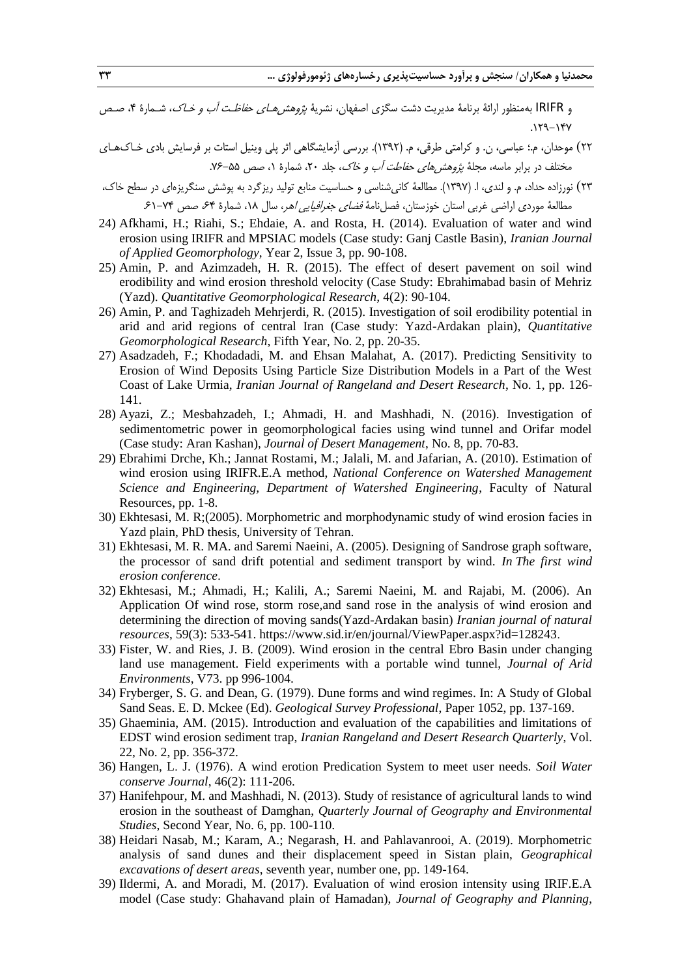و IRIFR بهمنظور ارائۀ برنامۀ مدیریت دشت سگزی اصفهان، نشریۀ *پژوهش هـای حفاظـت آب و خـاک*، شـمارۀ ۴، صـص .129-147

- 22( موحدان، م.؛ عباسی، ن. و کرامتی طرقی، م. )1392(. بررسی آزمایشگاهی اثر پلی وینیل استات بر فرسایش بادی خـاكهـای مختلف در برابر ماسه، مجلۀ پژو*هش های حفاطت آب و خاک*، جلد ۲۰، شمارۀ ۱، صص ۵۵–۷۶.
- 23( نورزاده حداد، م. و لندی، ا. )1397(. مطالعۀ کانیشناسی و حساسیت منابع تولید ریزگرد به پوشش سنگریزهای در سطح خاك، مطالعۀ موردی اراضی غربی استان خوزستان، فصلiامۀ *فضای جغرافیایی اهر*، سال ۱۸، شمارۀ ۶۴ صص ۷۴-۶۱.
- 24) Afkhami, H.; Riahi, S.; Ehdaie, A. and Rosta, H. (2014). Evaluation of water and wind erosion using IRIFR and MPSIAC models (Case study: Ganj Castle Basin), *Iranian Journal of Applied Geomorphology*, Year 2, Issue 3, pp. 90-108.
- 25) Amin, P. and Azimzadeh, H. R. (2015). The effect of desert pavement on soil wind erodibility and wind erosion threshold velocity (Case Study: Ebrahimabad basin of Mehriz (Yazd). *Quantitative Geomorphological Research,* 4(2): 90-104.
- 26) Amin, P. and Taghizadeh Mehrjerdi, R. (2015). Investigation of soil erodibility potential in arid and arid regions of central Iran (Case study: Yazd-Ardakan plain), *Quantitative Geomorphological Research*, Fifth Year, No. 2, pp. 20-35.
- 27) Asadzadeh, F.; Khodadadi, M. and Ehsan Malahat, A. (2017). Predicting Sensitivity to Erosion of Wind Deposits Using Particle Size Distribution Models in a Part of the West Coast of Lake Urmia, *Iranian Journal of Rangeland and Desert Research*, No. 1, pp. 126- 141.
- 28) Ayazi, Z.; Mesbahzadeh, I.; Ahmadi, H. and Mashhadi, N. (2016). Investigation of sedimentometric power in geomorphological facies using wind tunnel and Orifar model (Case study: Aran Kashan), *Journal of Desert Management*, No. 8, pp. 70-83.
- 29) Ebrahimi Drche, Kh.; Jannat Rostami, M.; Jalali, M. and Jafarian, A. (2010). Estimation of wind erosion using IRIFR.E.A method, *National Conference on Watershed Management Science and Engineering, Department of Watershed Engineering*, Faculty of Natural Resources, pp. 1-8.
- 30) Ekhtesasi, M. R;(2005). Morphometric and morphodynamic study of wind erosion facies in Yazd plain, PhD thesis, University of Tehran.
- 31) Ekhtesasi, M. R. MA. and Saremi Naeini, A. (2005). Designing of Sandrose graph software, the processor of sand drift potential and sediment transport by wind. *In The first wind erosion conference*.
- 32) Ekhtesasi, M.; Ahmadi, H.; Kalili, A.; Saremi Naeini, M. and Rajabi, M. (2006). An Application Of wind rose, storm rose,and sand rose in the analysis of wind erosion and determining the direction of moving sands(Yazd-Ardakan basin) *Iranian journal of natural resources*, 59(3): 533-541. https://www.sid.ir/en/journal/ViewPaper.aspx?id=128243.
- 33) Fister, W. and Ries, J. B. (2009). Wind erosion in the central Ebro Basin under changing land use management. Field experiments with a portable wind tunnel, *Journal of Arid Environments*, V73. pp 996-1004.
- 34) Fryberger, S. G. and Dean, G. (1979). Dune forms and wind regimes. In: A Study of Global Sand Seas. E. D. Mckee (Ed). *Geological Survey Professional*, Paper 1052, pp. 137-169.
- 35) Ghaeminia, AM. (2015). Introduction and evaluation of the capabilities and limitations of EDST wind erosion sediment trap, *Iranian Rangeland and Desert Research Quarterly*, Vol. 22, No. 2, pp. 356-372.
- 36) Hangen, L. J. (1976). A wind erotion Predication System to meet user needs. *Soil Water conserve Journal*, 46(2): 111-206.
- 37) Hanifehpour, M. and Mashhadi, N. (2013). Study of resistance of agricultural lands to wind erosion in the southeast of Damghan, *Quarterly Journal of Geography and Environmental Studies*, Second Year, No. 6, pp. 100-110.
- 38) Heidari Nasab, M.; Karam, A.; Negarash, H. and Pahlavanrooi, A. (2019). Morphometric analysis of sand dunes and their displacement speed in Sistan plain, *Geographical excavations of desert areas*, seventh year, number one, pp. 149-164.
- 39) Ildermi, A. and Moradi, M. (2017). Evaluation of wind erosion intensity using IRIF.E.A model (Case study: Ghahavand plain of Hamadan), *Journal of Geography and Planning*,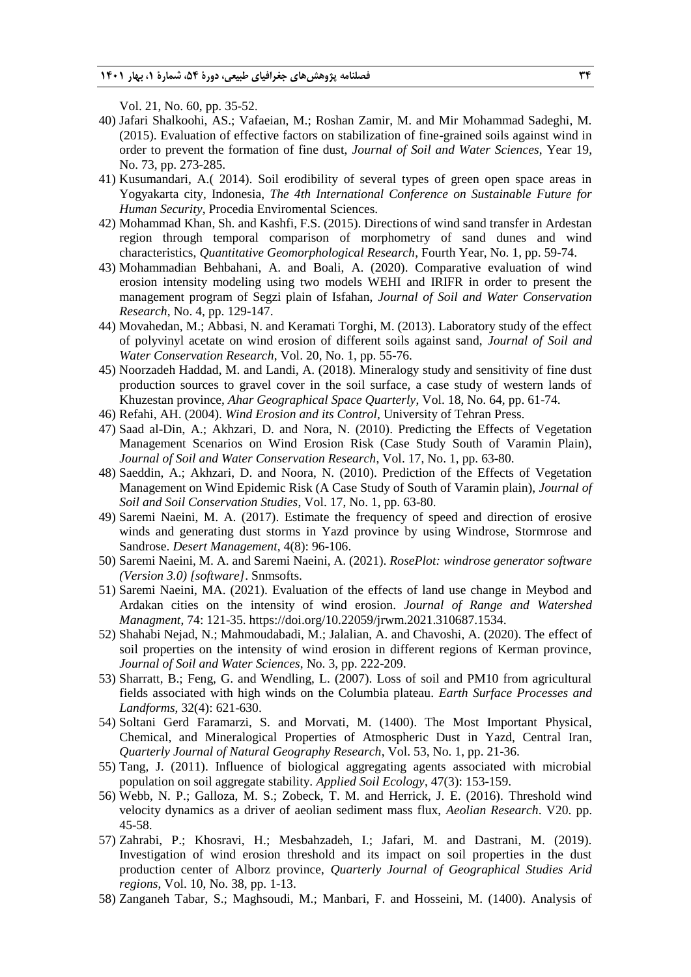Vol. 21, No. 60, pp. 35-52.

- 40) Jafari Shalkoohi, AS.; Vafaeian, M.; Roshan Zamir, M. and Mir Mohammad Sadeghi, M. (2015). Evaluation of effective factors on stabilization of fine-grained soils against wind in order to prevent the formation of fine dust, *Journal of Soil and Water Sciences*, Year 19, No. 73, pp. 273-285.
- 41) Kusumandari, A.( 2014). Soil erodibility of several types of green open space areas in Yogyakarta city, Indonesia, *The 4th International Conference on Sustainable Future for Human Security*, Procedia Enviromental Sciences.
- 42) Mohammad Khan, Sh. and Kashfi, F.S. (2015). Directions of wind sand transfer in Ardestan region through temporal comparison of morphometry of sand dunes and wind characteristics, *Quantitative Geomorphological Research*, Fourth Year, No. 1, pp. 59-74.
- 43) Mohammadian Behbahani, A. and Boali, A. (2020). Comparative evaluation of wind erosion intensity modeling using two models WEHI and IRIFR in order to present the management program of Segzi plain of Isfahan, *Journal of Soil and Water Conservation Research*, No. 4, pp. 129-147.
- 44) Movahedan, M.; Abbasi, N. and Keramati Torghi, M. (2013). Laboratory study of the effect of polyvinyl acetate on wind erosion of different soils against sand, *Journal of Soil and Water Conservation Research*, Vol. 20, No. 1, pp. 55-76.
- 45) Noorzadeh Haddad, M. and Landi, A. (2018). Mineralogy study and sensitivity of fine dust production sources to gravel cover in the soil surface, a case study of western lands of Khuzestan province, *Ahar Geographical Space Quarterly*, Vol. 18, No. 64, pp. 61-74.
- 46) Refahi, AH. (2004). *Wind Erosion and its Control*, University of Tehran Press.
- 47) Saad al-Din, A.; Akhzari, D. and Nora, N. (2010). Predicting the Effects of Vegetation Management Scenarios on Wind Erosion Risk (Case Study South of Varamin Plain), *Journal of Soil and Water Conservation Research*, Vol. 17, No. 1, pp. 63-80.
- 48) Saeddin, A.; Akhzari, D. and Noora, N. (2010). Prediction of the Effects of Vegetation Management on Wind Epidemic Risk (A Case Study of South of Varamin plain), *Journal of Soil and Soil Conservation Studies*, Vol. 17, No. 1, pp. 63-80.
- 49) Saremi Naeini, M. A. (2017). Estimate the frequency of speed and direction of erosive winds and generating dust storms in Yazd province by using Windrose, Stormrose and Sandrose. *Desert Management*, 4(8): 96-106.
- 50) Saremi Naeini, M. A. and Saremi Naeini, A. (2021). *RosePlot: windrose generator software (Version 3.0) [software]*. Snmsofts.
- 51) Saremi Naeini, MA. (2021). Evaluation of the effects of land use change in Meybod and Ardakan cities on the intensity of wind erosion. *Journal of Range and Watershed Managment*, 74: 121-35. https://doi.org/10.22059/jrwm.2021.310687.1534.
- 52) Shahabi Nejad, N.; Mahmoudabadi, M.; Jalalian, A. and Chavoshi, A. (2020). The effect of soil properties on the intensity of wind erosion in different regions of Kerman province, *Journal of Soil and Water Sciences*, No. 3, pp. 222-209.
- 53) Sharratt, B.; Feng, G. and Wendling, L. (2007). Loss of soil and PM10 from agricultural fields associated with high winds on the Columbia plateau. *Earth Surface Processes and Landforms*, 32(4): 621-630.
- 54) Soltani Gerd Faramarzi, S. and Morvati, M. (1400). The Most Important Physical, Chemical, and Mineralogical Properties of Atmospheric Dust in Yazd, Central Iran, *Quarterly Journal of Natural Geography Research*, Vol. 53, No. 1, pp. 21-36.
- 55) Tang, J. (2011). Influence of biological aggregating agents associated with microbial population on soil aggregate stability. *Applied Soil Ecology*, 47(3): 153-159.
- 56) Webb, N. P.; Galloza, M. S.; Zobeck, T. M. and Herrick, J. E. (2016). Threshold wind velocity dynamics as a driver of aeolian sediment mass flux, *Aeolian Research*. V20. pp. 45-58.
- 57) Zahrabi, P.; Khosravi, H.; Mesbahzadeh, I.; Jafari, M. and Dastrani, M. (2019). Investigation of wind erosion threshold and its impact on soil properties in the dust production center of Alborz province, *Quarterly Journal of Geographical Studies Arid regions*, Vol. 10, No. 38, pp. 1-13.
- 58) Zanganeh Tabar, S.; Maghsoudi, M.; Manbari, F. and Hosseini, M. (1400). Analysis of